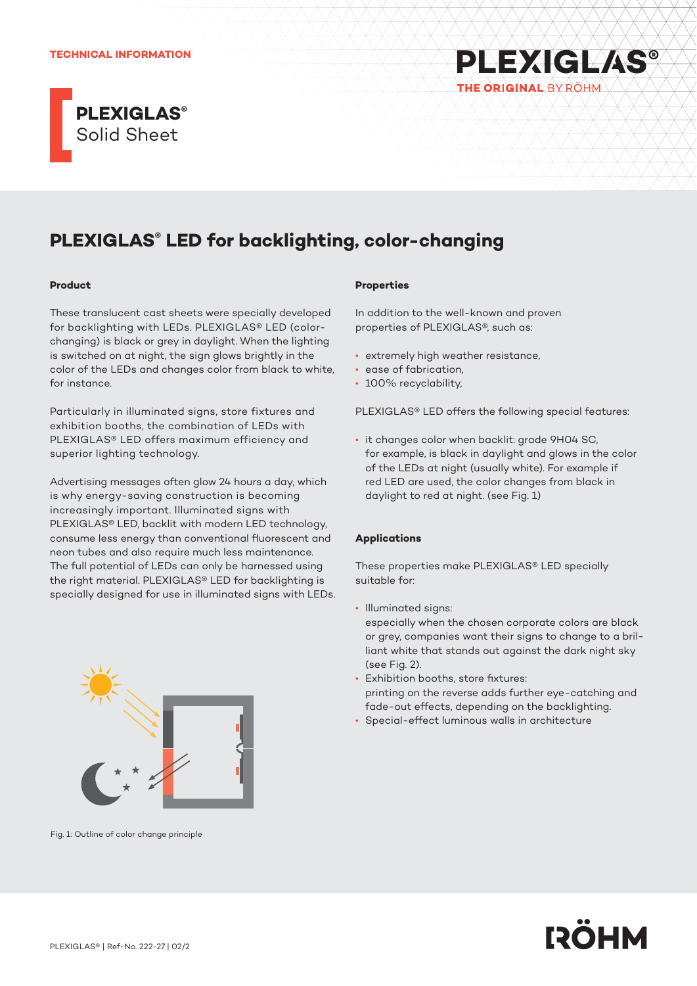#### **TECHNICAL INFORMATION**



# **PLEXIGLAS®** THE ORIGINAL BY ROHM

## **PLEXIGLAS® LED for backlighting, color-changing**

#### **Product**

These translucent cast sheets were specially developed for backlighting with LEDs. PLEXIGLAS® LED (colorchanging) is black or grey in daylight. When the lighting is switched on at night, the sign glows brightly in the color of the LEDs and changes color from black to white, for instance.

Particularly in illuminated signs, store fixtures and exhibition booths, the combination of LEDs with PLEXIGLAS® LED offers maximum efficiency and superior lighting technology.

Advertising messages often glow 24 hours a day, which is why energy-saving construction is becoming increasingly important. Illuminated signs with PLEXIGLAS® LED, backlit with modern LED technology, consume less energy than conventional fluorescent and neon tubes and also require much less maintenance. The full potential of LEDs can only be harnessed using the right material. PLEXIGLAS® LED for backlighting is specially designed for use in illuminated signs with LEDs.



Fig. 1: Outline of color change principle

#### **Properties**

In addition to the well-known and proven properties of PLEXIGLAS®, such as:

- extremely high weather resistance,
- ease of fabrication,
- 100% recyclability,

PLEXIGLAS® LED offers the following special features:

• it changes color when backlit: grade 9H04 SC, for example, is black in daylight and glows in the color of the LEDs at night (usually white). For example if red LED are used, the color changes from black in daylight to red at night. (see Fig. 1)

## **Applications**

These properties make PLEXIGLAS® LED specially suitable for:

• Illuminated signs:

especially when the chosen corporate colors are black or grey, companies want their signs to change to a brilliant white that stands out against the dark night sky (see Fig. 2).

- Exhibition booths, store fixtures: printing on the reverse adds further eye-catching and fade-out effects, depending on the backlighting.
- Special-effect luminous walls in architecture